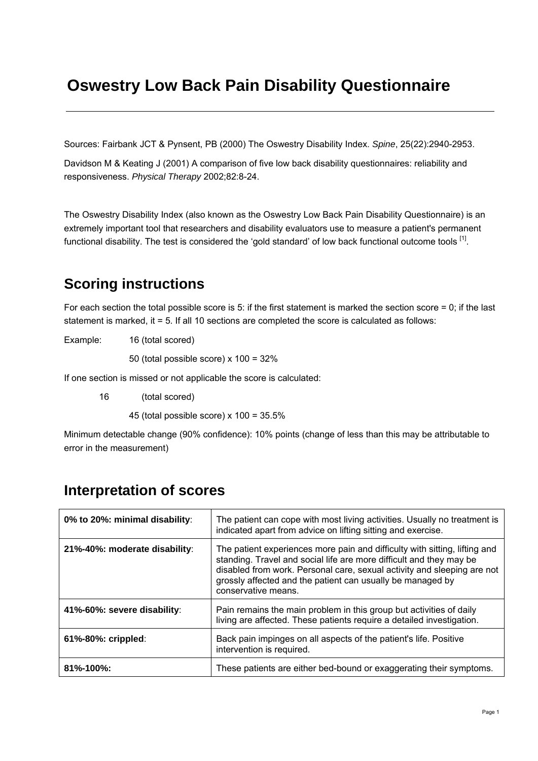# **Oswestry Low Back Pain Disability Questionnaire**

Sources: Fairbank JCT & Pynsent, PB (2000) The Oswestry Disability Index. *Spine*, 25(22):2940-2953.

Davidson M & Keating J (2001) A comparison of five low back disability questionnaires: reliability and responsiveness. *Physical Therapy* 2002;82:8-24.

The Oswestry Disability Index (also known as the Oswestry Low Back Pain Disability Questionnaire) is an extremely important tool that researchers and disability evaluators use to measure a patient's permanent functional disability. The test is considered the 'gold standard' of low back functional outcome tools <sup>[1]</sup>.

### **Scoring instructions**

For each section the total possible score is 5: if the first statement is marked the section score  $= 0$ ; if the last statement is marked, it = 5. If all 10 sections are completed the score is calculated as follows:

Example: 16 (total scored)

50 (total possible score) x 100 = 32%

If one section is missed or not applicable the score is calculated:

16 (total scored)

45 (total possible score)  $x$  100 = 35.5%

Minimum detectable change (90% confidence): 10% points (change of less than this may be attributable to error in the measurement)

| 0% to 20%: minimal disability: | The patient can cope with most living activities. Usually no treatment is<br>indicated apart from advice on lifting sitting and exercise.                                                                                                                                                                         |  |  |
|--------------------------------|-------------------------------------------------------------------------------------------------------------------------------------------------------------------------------------------------------------------------------------------------------------------------------------------------------------------|--|--|
| 21%-40%: moderate disability:  | The patient experiences more pain and difficulty with sitting, lifting and<br>standing. Travel and social life are more difficult and they may be<br>disabled from work. Personal care, sexual activity and sleeping are not<br>grossly affected and the patient can usually be managed by<br>conservative means. |  |  |
| 41%-60%: severe disability:    | Pain remains the main problem in this group but activities of daily<br>living are affected. These patients require a detailed investigation.                                                                                                                                                                      |  |  |
| 61%-80%: crippled:             | Back pain impinges on all aspects of the patient's life. Positive<br>intervention is required.                                                                                                                                                                                                                    |  |  |
| 81%-100%:                      | These patients are either bed-bound or exaggerating their symptoms.                                                                                                                                                                                                                                               |  |  |

### **Interpretation of scores**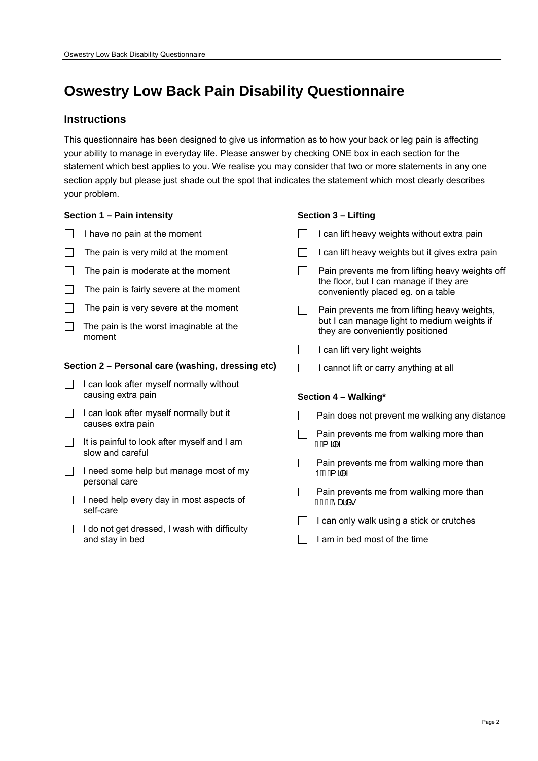## **Oswestry Low Back Pain Disability Questionnaire**

### **Instructions**

This questionnaire has been designed to give us information as to how your back or leg pain is affecting your ability to manage in everyday life. Please answer by checking ONE box in each section for the statement which best applies to you. We realise you may consider that two or more statements in any one section apply but please just shade out the spot that indicates the statement which most clearly describes your problem.

### **Section 1 – Pain intensity**

- $\Box$  I have no pain at the moment
- $\Box$  The pain is very mild at the moment
- $\Box$  The pain is moderate at the moment
- $\Box$  The pain is fairly severe at the moment
- $\Box$  The pain is very severe at the moment
- $\Box$  The pain is the worst imaginable at the moment

#### **Section 2 – Personal care (washing, dressing etc)**

- $\Box$  I can look after myself normally without causing extra pain
- $\Box$  I can look after myself normally but it causes extra pain
- $\Box$  It is painful to look after myself and I am slow and careful
- $\Box$  I need some help but manage most of my personal care
- $\Box$  I need help every day in most aspects of self-care
- $\Box$  I do not get dressed, I wash with difficulty and stay in bed

#### **Section 3 – Lifting**

|                      | I can lift heavy weights without extra pain                                                                                      |  |  |  |
|----------------------|----------------------------------------------------------------------------------------------------------------------------------|--|--|--|
|                      | I can lift heavy weights but it gives extra pain                                                                                 |  |  |  |
|                      | Pain prevents me from lifting heavy weights off<br>the floor, but I can manage if they are<br>conveniently placed eg. on a table |  |  |  |
|                      | Pain prevents me from lifting heavy weights,<br>but I can manage light to medium weights if<br>they are conveniently positioned  |  |  |  |
|                      | I can lift very light weights                                                                                                    |  |  |  |
|                      | I cannot lift or carry anything at all                                                                                           |  |  |  |
| Section 4 - Walking* |                                                                                                                                  |  |  |  |
|                      |                                                                                                                                  |  |  |  |
|                      | Pain does not prevent me walking any distance                                                                                    |  |  |  |
|                      | Pain prevents me from walking more than<br>FÁ aM                                                                                 |  |  |  |
|                      | Pain prevents me from walking more than<br>1 EOBÁ 3M                                                                             |  |  |  |
|                      | Pain prevents me from walking more than<br>F€€Áæå∙                                                                               |  |  |  |
|                      | I can only walk using a stick or crutches                                                                                        |  |  |  |